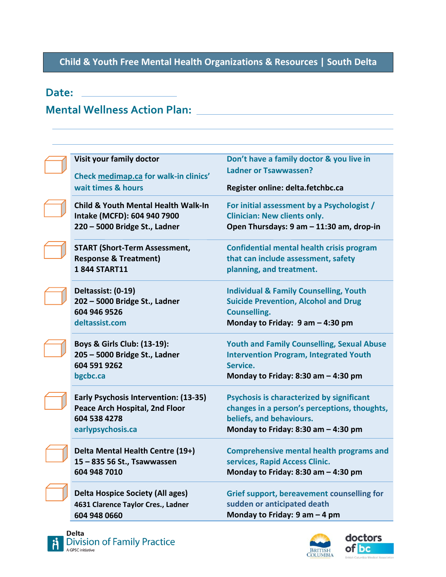## **Child & Youth Free Mental Health Organizations & Resources | South Delta**

## **Date:**

## **Mental Wellness Action Plan:**

| Visit your family doctor<br>Check medimap.ca for walk-in clinics'                                              | Don't have a family doctor & you live in<br><b>Ladner or Tsawwassen?</b>                                                                                       |
|----------------------------------------------------------------------------------------------------------------|----------------------------------------------------------------------------------------------------------------------------------------------------------------|
| wait times & hours                                                                                             | Register online: delta.fetchbc.ca                                                                                                                              |
| <b>Child &amp; Youth Mental Health Walk-In</b><br>Intake (MCFD): 604 940 7900<br>220 - 5000 Bridge St., Ladner | For initial assessment by a Psychologist /<br><b>Clinician: New clients only.</b><br>Open Thursdays: 9 am - 11:30 am, drop-in                                  |
| <b>START (Short-Term Assessment,</b><br><b>Response &amp; Treatment)</b><br>1844 START11                       | <b>Confidential mental health crisis program</b><br>that can include assessment, safety<br>planning, and treatment.                                            |
| Deltassist: (0-19)<br>202 - 5000 Bridge St., Ladner<br>604 946 9526<br>deltassist.com                          | <b>Individual &amp; Family Counselling, Youth</b><br><b>Suicide Prevention, Alcohol and Drug</b><br><b>Counselling.</b><br>Monday to Friday: 9 am - 4:30 pm    |
| Boys & Girls Club: (13-19):<br>205 - 5000 Bridge St., Ladner<br>604 591 9262<br>bgcbc.ca                       | <b>Youth and Family Counselling, Sexual Abuse</b><br><b>Intervention Program, Integrated Youth</b><br>Service.<br>Monday to Friday: 8:30 am $-$ 4:30 pm        |
| Early Psychosis Intervention: (13-35)<br>Peace Arch Hospital, 2nd Floor<br>604 538 4278<br>earlypsychosis.ca   | Psychosis is characterized by significant<br>changes in a person's perceptions, thoughts,<br>beliefs, and behaviours.<br>Monday to Friday: 8:30 am $-$ 4:30 pm |
| Delta Mental Health Centre (19+)<br>15 - 835 56 St., Tsawwassen<br>604 948 7010                                | <b>Comprehensive mental health programs and</b><br>services, Rapid Access Clinic.<br>Monday to Friday: 8:30 am $-$ 4:30 pm                                     |
| <b>Delta Hospice Society (All ages)</b><br>4631 Clarence Taylor Cres., Ladner<br>604 948 0660                  | <b>Grief support, bereavement counselling for</b><br>sudden or anticipated death<br>Monday to Friday: $9$ am $-$ 4 pm                                          |